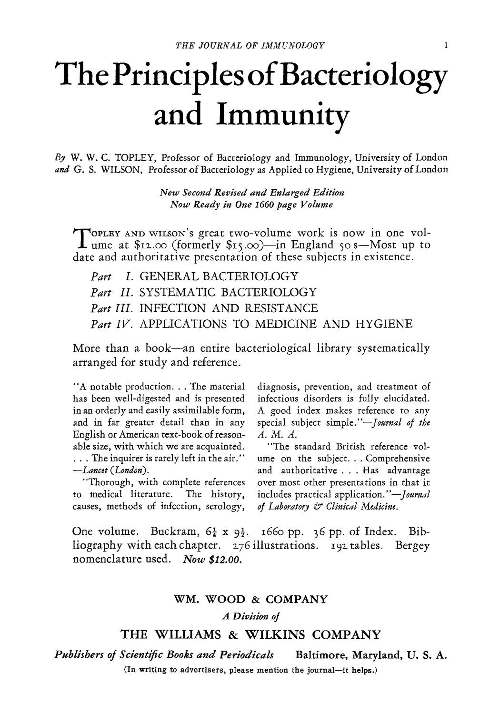## **The Principles of Bacteriology and Immunity**

*By* W. W. C. TOPLEY, Professor of Bacteriology and Immunology, University of London *and* G. S. WILSON, Professor of Bacteriology as Applied to Hygiene, University of London

> *New Second Revised and Enlarged Edition Now Ready in One 1660 page Volume*

Topley and wilson's great two-volume work is now in one vol-<br>ume at \$12.00 (formerly \$15.00)—in England 50 s-Most up to date and authoritative presentation of these subjects in existence.

*Part I.* GENERAL BACTERIOLOGY *Part II.* SYSTEMATIC BACTERIOLOGY *Part III.* INFECTION AND RESISTANCE *Part IV.* APPLICATIONS TO MEDICINE AND HYGIENE

More than a book—an entire bacteriological library systematically arranged for study and reference.

"A notable production... The material has been well-digested and is presented in an orderly and easily assimilable form, and in far greater detail than in any English or American text-bo0k of reasonable size, with which we are acquainted. . . . The inquirer is rarely left in the air." *--Lancet (London).* 

"Thorough, with complete references to medical literature. The history, causes, methods of infection, serology,

diagnosis, prevention, and treatment of infectious disorders is fully elucidated. A good index makes reference to any special subject *simple."--Jaurnal of the A.M.A.* 

"The standard British reference volume on the subject... Comprehensive and authoritative... Has advantage over most other presentations in that it includes practical *application."--Jaurnal of Laboratory & Clinical Medicine.* 

One volume. Buckram, *6~ x 9½. x66o* pp. 36 pp. of Index. Bibliography with each chapter. 276 illustrations. 192 tables. Bergey nomenclature used. *Now \$I2.oo.* 

## WM. WOOD & COMPANY

## *A Division oJ*

## THE WILLIAMS & WILKINS COMPANY

*Publishers of Scientific Books and Periodicals* Baltimore, Maryland, U. S. A. (In writing to **advertisers, please** mention the journal--it **helps.)**